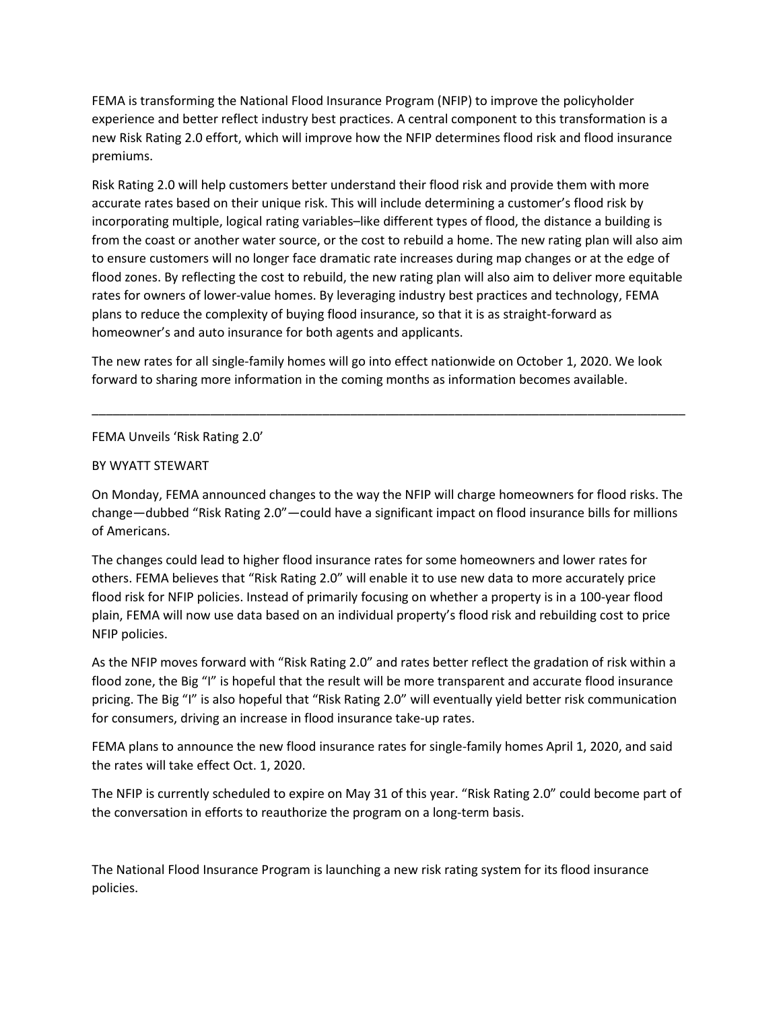FEMA is transforming the National Flood Insurance Program (NFIP) to improve the policyholder experience and better reflect industry best practices. A central component to this transformation is a new Risk Rating 2.0 effort, which will improve how the NFIP determines flood risk and flood insurance premiums.

Risk Rating 2.0 will help customers better understand their flood risk and provide them with more accurate rates based on their unique risk. This will include determining a customer's flood risk by incorporating multiple, logical rating variables–like different types of flood, the distance a building is from the coast or another water source, or the cost to rebuild a home. The new rating plan will also aim to ensure customers will no longer face dramatic rate increases during map changes or at the edge of flood zones. By reflecting the cost to rebuild, the new rating plan will also aim to deliver more equitable rates for owners of lower-value homes. By leveraging industry best practices and technology, FEMA plans to reduce the complexity of buying flood insurance, so that it is as straight-forward as homeowner's and auto insurance for both agents and applicants.

The new rates for all single-family homes will go into effect nationwide on October 1, 2020. We look forward to sharing more information in the coming months as information becomes available.

\_\_\_\_\_\_\_\_\_\_\_\_\_\_\_\_\_\_\_\_\_\_\_\_\_\_\_\_\_\_\_\_\_\_\_\_\_\_\_\_\_\_\_\_\_\_\_\_\_\_\_\_\_\_\_\_\_\_\_\_\_\_\_\_\_\_\_\_\_\_\_\_\_\_\_\_\_\_\_\_\_\_\_\_\_

FEMA Unveils 'Risk Rating 2.0'

### BY WYATT STEWART

On Monday, FEMA announced changes to the way the NFIP will charge homeowners for flood risks. The change—dubbed "Risk Rating 2.0"—could have a significant impact on flood insurance bills for millions of Americans.

The changes could lead to higher flood insurance rates for some homeowners and lower rates for others. FEMA believes that "Risk Rating 2.0" will enable it to use new data to more accurately price flood risk for NFIP policies. Instead of primarily focusing on whether a property is in a 100-year flood plain, FEMA will now use data based on an individual property's flood risk and rebuilding cost to price NFIP policies.

As the NFIP moves forward with "Risk Rating 2.0" and rates better reflect the gradation of risk within a flood zone, the Big "I" is hopeful that the result will be more transparent and accurate flood insurance pricing. The Big "I" is also hopeful that "Risk Rating 2.0" will eventually yield better risk communication for consumers, driving an increase in flood insurance take-up rates.

FEMA plans to announce the new flood insurance rates for single-family homes April 1, 2020, and said the rates will take effect Oct. 1, 2020.

The NFIP is currently scheduled to expire on May 31 of this year. "Risk Rating 2.0" could become part of the conversation in efforts to reauthorize the program on a long-term basis.

The National Flood Insurance Program is launching a new risk rating system for its flood insurance policies.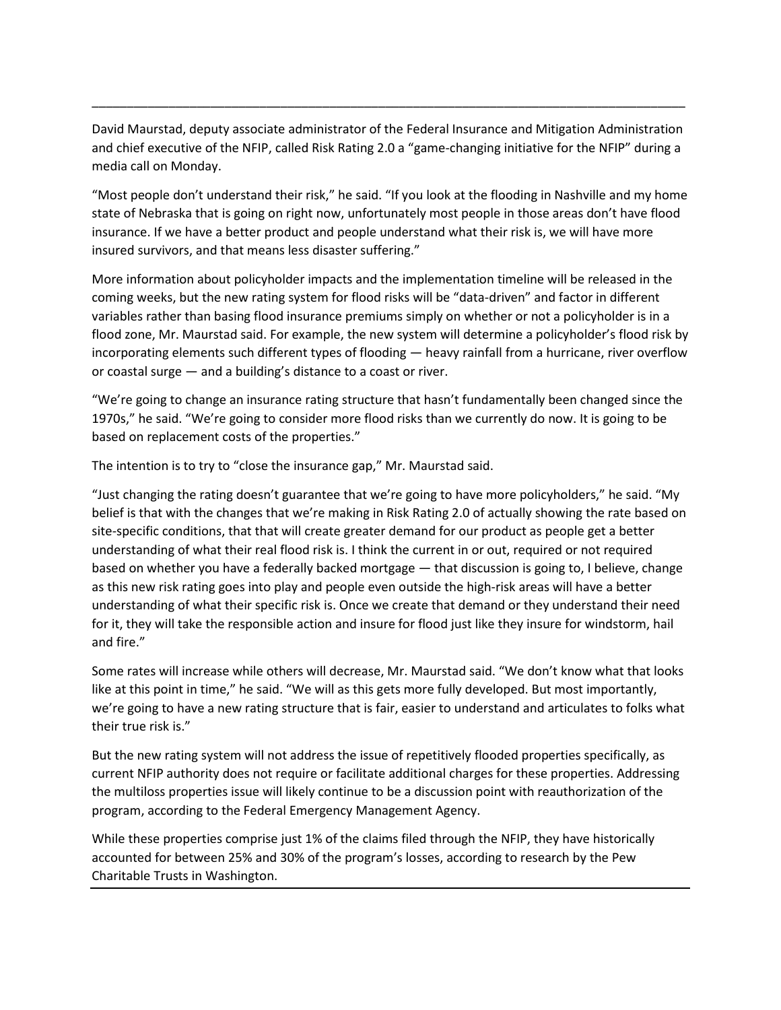David Maurstad, deputy associate administrator of the Federal Insurance and Mitigation Administration and chief executive of the NFIP, called Risk Rating 2.0 a "game-changing initiative for the NFIP" during a media call on Monday.

\_\_\_\_\_\_\_\_\_\_\_\_\_\_\_\_\_\_\_\_\_\_\_\_\_\_\_\_\_\_\_\_\_\_\_\_\_\_\_\_\_\_\_\_\_\_\_\_\_\_\_\_\_\_\_\_\_\_\_\_\_\_\_\_\_\_\_\_\_\_\_\_\_\_\_\_\_\_\_\_\_\_\_\_\_

"Most people don't understand their risk," he said. "If you look at the flooding in Nashville and my home state of Nebraska that is going on right now, unfortunately most people in those areas don't have flood insurance. If we have a better product and people understand what their risk is, we will have more insured survivors, and that means less disaster suffering."

More information about policyholder impacts and the implementation timeline will be released in the coming weeks, but the new rating system for flood risks will be "data-driven" and factor in different variables rather than basing flood insurance premiums simply on whether or not a policyholder is in a flood zone, Mr. Maurstad said. For example, the new system will determine a policyholder's flood risk by incorporating elements such different types of flooding — heavy rainfall from a hurricane, river overflow or coastal surge — and a building's distance to a coast or river.

"We're going to change an insurance rating structure that hasn't fundamentally been changed since the 1970s," he said. "We're going to consider more flood risks than we currently do now. It is going to be based on replacement costs of the properties."

The intention is to try to "close the insurance gap," Mr. Maurstad said.

"Just changing the rating doesn't guarantee that we're going to have more policyholders," he said. "My belief is that with the changes that we're making in Risk Rating 2.0 of actually showing the rate based on site-specific conditions, that that will create greater demand for our product as people get a better understanding of what their real flood risk is. I think the current in or out, required or not required based on whether you have a federally backed mortgage — that discussion is going to, I believe, change as this new risk rating goes into play and people even outside the high-risk areas will have a better understanding of what their specific risk is. Once we create that demand or they understand their need for it, they will take the responsible action and insure for flood just like they insure for windstorm, hail and fire."

Some rates will increase while others will decrease, Mr. Maurstad said. "We don't know what that looks like at this point in time," he said. "We will as this gets more fully developed. But most importantly, we're going to have a new rating structure that is fair, easier to understand and articulates to folks what their true risk is."

But the new rating system will not address the issue of repetitively flooded properties specifically, as current NFIP authority does not require or facilitate additional charges for these properties. Addressing the multiloss properties issue will likely continue to be a discussion point with reauthorization of the program, according to the Federal Emergency Management Agency.

While these properties comprise just 1% of the claims filed through the NFIP, they have historically accounted for between 25% and 30% of the program's losses, according to research by the Pew Charitable Trusts in Washington.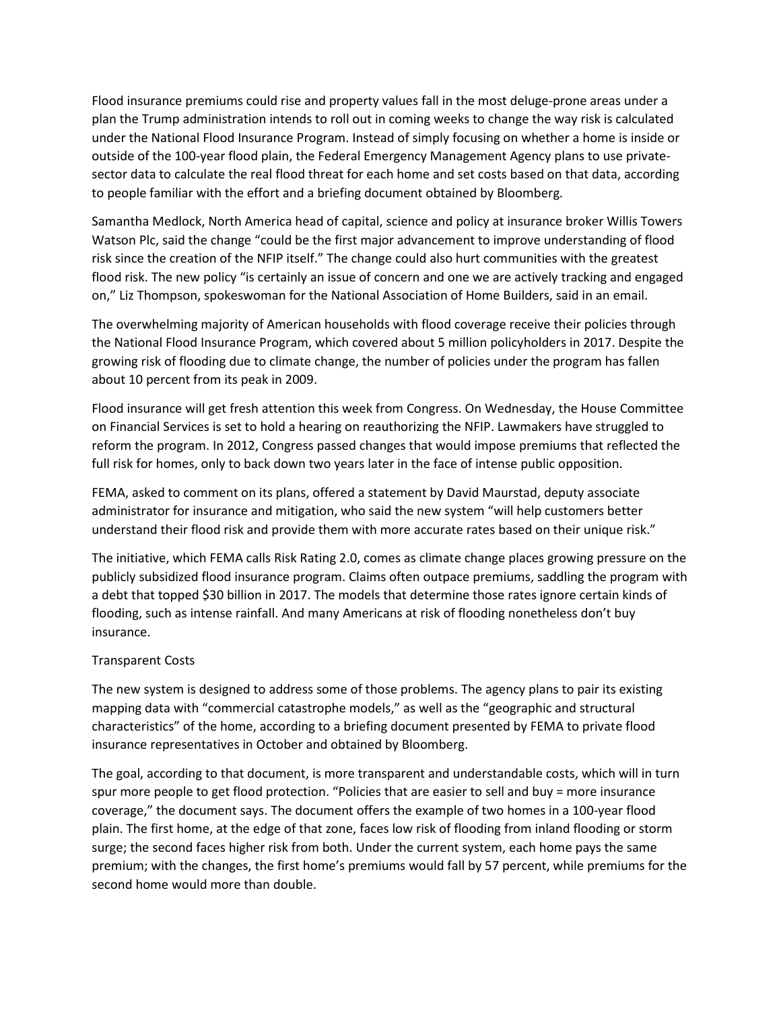Flood insurance premiums could rise and property values fall in the most deluge-prone areas under a plan the Trump administration intends to roll out in coming weeks to change the way risk is calculated under the National Flood Insurance Program. Instead of simply focusing on whether a home is inside or outside of the 100-year flood plain, the Federal Emergency Management Agency plans to use privatesector data to calculate the real flood threat for each home and set costs based on that data, according to people familiar with the effort and a briefing document obtained by Bloomberg.

Samantha Medlock, North America head of capital, science and policy at insurance broker Willis Towers Watson Plc, said the change "could be the first major advancement to improve understanding of flood risk since the creation of the NFIP itself." The change could also hurt communities with the greatest flood risk. The new policy "is certainly an issue of concern and one we are actively tracking and engaged on," Liz Thompson, spokeswoman for the National Association of Home Builders, said in an email.

The overwhelming majority of American households with flood coverage receive their policies through the National Flood Insurance Program, which covered about 5 million policyholders in 2017. Despite the growing risk of flooding due to climate change, the number of policies under the program has fallen about 10 percent from its peak in 2009.

Flood insurance will get fresh attention this week from Congress. On Wednesday, the House Committee on Financial Services is set to hold a hearing on reauthorizing the NFIP. Lawmakers have struggled to reform the program. In 2012, Congress passed changes that would impose premiums that reflected the full risk for homes, only to back down two years later in the face of intense public opposition.

FEMA, asked to comment on its plans, offered a statement by David Maurstad, deputy associate administrator for insurance and mitigation, who said the new system "will help customers better understand their flood risk and provide them with more accurate rates based on their unique risk."

The initiative, which FEMA calls Risk Rating 2.0, comes as climate change places growing pressure on the publicly subsidized flood insurance program. Claims often outpace premiums, saddling the program with a debt that topped \$30 billion in 2017. The models that determine those rates ignore certain kinds of flooding, such as intense rainfall. And many Americans at risk of flooding nonetheless don't buy insurance.

# Transparent Costs

The new system is designed to address some of those problems. The agency plans to pair its existing mapping data with "commercial catastrophe models," as well as the "geographic and structural characteristics" of the home, according to a briefing document presented by FEMA to private flood insurance representatives in October and obtained by Bloomberg.

The goal, according to that document, is more transparent and understandable costs, which will in turn spur more people to get flood protection. "Policies that are easier to sell and buy = more insurance coverage," the document says. The document offers the example of two homes in a 100-year flood plain. The first home, at the edge of that zone, faces low risk of flooding from inland flooding or storm surge; the second faces higher risk from both. Under the current system, each home pays the same premium; with the changes, the first home's premiums would fall by 57 percent, while premiums for the second home would more than double.